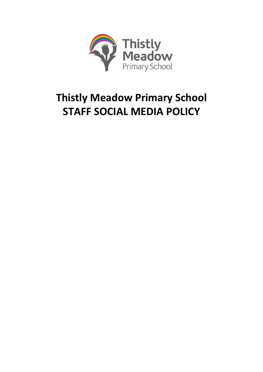

# **Thistly Meadow Primary School STAFF SOCIAL MEDIA POLICY**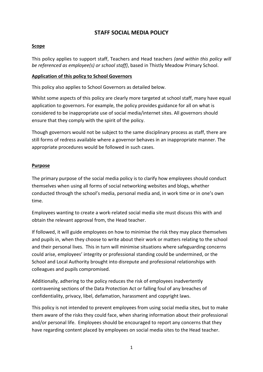# **STAFF SOCIAL MEDIA POLICY**

# **Scope**

This policy applies to support staff, Teachers and Head teachers *(and within this policy will be referenced as employee(s) or school staff)*, based in Thistly Meadow Primary School.

# **Application of this policy to School Governors**

This policy also applies to School Governors as detailed below.

Whilst some aspects of this policy are clearly more targeted at school staff, many have equal application to governors. For example, the policy provides guidance for all on what is considered to be inappropriate use of social media/internet sites. All governors should ensure that they comply with the spirit of the policy.

Though governors would not be subject to the same disciplinary process as staff, there are still forms of redress available where a governor behaves in an inappropriate manner. The appropriate procedures would be followed in such cases.

# **Purpose**

The primary purpose of the social media policy is to clarify how employees should conduct themselves when using all forms of social networking websites and blogs, whether conducted through the school's media, personal media and, in work time or in one's own time.

Employees wanting to create a work-related social media site must discuss this with and obtain the relevant approval from, the Head teacher.

If followed, it will guide employees on how to minimise the risk they may place themselves and pupils in, when they choose to write about their work or matters relating to the school and their personal lives. This in turn will minimise situations where safeguarding concerns could arise, employees' integrity or professional standing could be undermined, or the School and Local Authority brought into disrepute and professional relationships with colleagues and pupils compromised.

Additionally, adhering to the policy reduces the risk of employees inadvertently contravening sections of the Data Protection Act or falling foul of any breaches of confidentiality, privacy, libel, defamation, harassment and copyright laws.

This policy is not intended to prevent employees from using social media sites, but to make them aware of the risks they could face, when sharing information about their professional and/or personal life. Employees should be encouraged to report any concerns that they have regarding content placed by employees on social media sites to the Head teacher.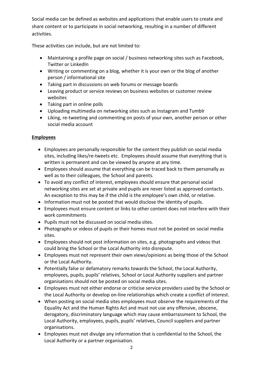Social media can be defined as websites and applications that enable users to create and share content or to participate in social networking, resulting in a number of different activities.

These activities can include, but are not limited to:

- Maintaining a profile page on social / business networking sites such as Facebook, Twitter or LinkedIn
- Writing or commenting on a blog, whether it is your own or the blog of another person / informational site
- Taking part in discussions on web forums or message boards
- Leaving product or service reviews on business websites or customer review websites
- Taking part in online polls
- Uploading multimedia on networking sites such as Instagram and Tumblr
- Liking, re-tweeting and commenting on posts of your own, another person or other social media account

## **Employees**

- Employees are personally responsible for the content they publish on social media sites, including likes/re-tweets etc. Employees should assume that everything that is written is permanent and can be viewed by anyone at any time.
- Employees should assume that everything can be traced back to them personally as well as to their colleagues, the School and parents.
- To avoid any conflict of interest, employees should ensure that personal social networking sites are set at private and pupils are never listed as approved contacts. An exception to this may be if the child is the employee's own child, or relative.
- Information must not be posted that would disclose the identity of pupils.
- Employees must ensure content or links to other content does not interfere with their work commitments
- Pupils must not be discussed on social media sites.
- Photographs or videos of pupils or their homes must not be posted on social media sites.
- Employees should not post information on sites, e.g. photographs and videos that could bring the School or the Local Authority into disrepute.
- Employees must not represent their own views/opinions as being those of the School or the Local Authority.
- Potentially false or defamatory remarks towards the School, the Local Authority, employees, pupils, pupils' relatives, School or Local Authority suppliers and partner organisations should not be posted on social media sites.
- Employees must not either endorse or criticise service providers used by the School or the Local Authority or develop on-line relationships which create a conflict of interest.
- When posting on social media sites employees must observe the requirements of the Equality Act and the Human Rights Act and must not use any offensive, obscene, derogatory, discriminatory language which may cause embarrassment to School, the Local Authority, employees, pupils, pupils' relatives, Council suppliers and partner organisations.
- Employees must not divulge any information that is confidential to the School, the Local Authority or a partner organisation.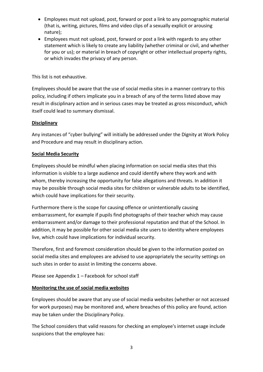- Employees must not upload, post, forward or post a link to any pornographic material (that is, writing, pictures, films and video clips of a sexually explicit or arousing nature);
- Employees must not upload, post, forward or post a link with regards to any other statement which is likely to create any liability (whether criminal or civil, and whether for you or us); or material in breach of copyright or other intellectual property rights, or which invades the privacy of any person.

This list is not exhaustive.

Employees should be aware that the use of social media sites in a manner contrary to this policy, including if others implicate you in a breach of any of the terms listed above may result in disciplinary action and in serious cases may be treated as gross misconduct, which itself could lead to summary dismissal.

# **Disciplinary**

Any instances of "cyber bullying" will initially be addressed under the Dignity at Work Policy and Procedure and may result in disciplinary action.

# **Social Media Security**

Employees should be mindful when placing information on social media sites that this information is visible to a large audience and could identify where they work and with whom, thereby increasing the opportunity for false allegations and threats. In addition it may be possible through social media sites for children or vulnerable adults to be identified, which could have implications for their security.

Furthermore there is the scope for causing offence or unintentionally causing embarrassment, for example if pupils find photographs of their teacher which may cause embarrassment and/or damage to their professional reputation and that of the School. In addition, it may be possible for other social media site users to identity where employees live, which could have implications for individual security.

Therefore, first and foremost consideration should be given to the information posted on social media sites and employees are advised to use appropriately the security settings on such sites in order to assist in limiting the concerns above.

Please see Appendix 1 – Facebook for school staff

## **Monitoring the use of social media websites**

Employees should be aware that any use of social media websites (whether or not accessed for work purposes) may be monitored and, where breaches of this policy are found, action may be taken under the Disciplinary Policy.

The School considers that valid reasons for checking an employee's internet usage include suspicions that the employee has: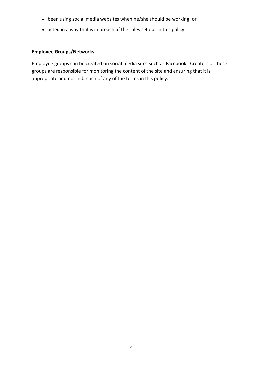- been using social media websites when he/she should be working; or
- acted in a way that is in breach of the rules set out in this policy.

# **Employee Groups/Networks**

Employee groups can be created on social media sites such as Facebook. Creators of these groups are responsible for monitoring the content of the site and ensuring that it is appropriate and not in breach of any of the terms in this policy.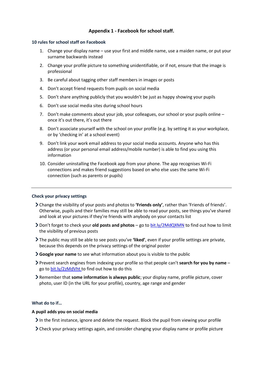## **Appendix 1 - Facebook for school staff.**

## **10 rules for school staff on Facebook**

- 1. Change your display name use your first and middle name, use a maiden name, or put your surname backwards instead
- 2. Change your profile picture to something unidentifiable, or if not, ensure that the image is professional
- 3. Be careful about tagging other staff members in images or posts
- 4. Don't accept friend requests from pupils on social media
- 5. Don't share anything publicly that you wouldn't be just as happy showing your pupils
- 6. Don't use social media sites during school hours
- 7. Don't make comments about your job, your colleagues, our school or your pupils online once it's out there, it's out there
- 8. Don't associate yourself with the school on your profile (e.g. by setting it as your workplace, or by 'checking in' at a school event)
- 9. Don't link your work email address to your social media accounts. Anyone who has this address (or your personal email address/mobile number) is able to find you using this information
- 10. Consider uninstalling the Facebook app from your phone. The app recognises Wi-Fi connections and makes friend suggestions based on who else uses the same Wi-Fi connection (such as parents or pupils)

#### **Check your privacy settings**

- Change the visibility of your posts and photos to **'Friends only'**, rather than 'Friends of friends'. Otherwise, pupils and their families may still be able to read your posts, see things you've shared and look at your pictures if they're friends with anybody on your contacts list
- Don't forget to check your **old posts and photos** go t[o bit.ly/2MdQXMN](https://www.facebook.com/help/iphone-app/236898969688346?helpref=uf_permalink) to find out how to limit the visibility of previous posts
- The public may still be able to see posts you've **'liked'**, even if your profile settings are private, because this depends on the privacy settings of the original poster
- **Google your name** to see what information about you is visible to the public
- Prevent search engines from indexing your profile so that people can't **search for you by name** go t[o bit.ly/2zMdVht t](https://www.facebook.com/help/124518907626945?helpref=faq_content)o find out how to do this
- Remember that **some information is always public**; your display name, profile picture, cover photo, user ID (in the URL for your profile), country, age range and gender

### **What do to if…**

### **A pupil adds you on social media**

In the first instance, ignore and delete the request. Block the pupil from viewing your profile

Check your privacy settings again, and consider changing your display name or profile picture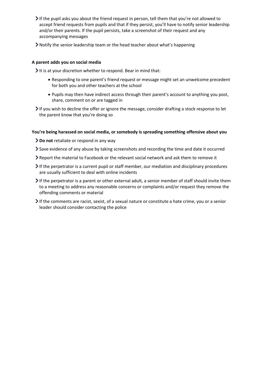If the pupil asks you about the friend request in person, tell them that you're not allowed to accept friend requests from pupils and that if they persist, you'll have to notify senior leadership and/or their parents. If the pupil persists, take a screenshot of their request and any accompanying messages

Notify the senior leadership team or the head teacher about what's happening

## **A parent adds you on social media**

It is at your discretion whether to respond. Bear in mind that:

- Responding to one parent's friend request or message might set an unwelcome precedent for both you and other teachers at the school
- Pupils may then have indirect access through their parent's account to anything you post, share, comment on or are tagged in
- $\triangleright$  If you wish to decline the offer or ignore the message, consider drafting a stock response to let the parent know that you're doing so

## **You're being harassed on social media, or somebody is spreading something offensive about you**

- **Do not** retaliate or respond in any way
- Save evidence of any abuse by taking screenshots and recording the time and date it occurred
- Report the material to Facebook or the relevant social network and ask them to remove it
- If the perpetrator is a current pupil or staff member, our mediation and disciplinary procedures are usually sufficient to deal with online incidents
- If the perpetrator is a parent or other external adult, a senior member of staff should invite them to a meeting to address any reasonable concerns or complaints and/or request they remove the offending comments or material
- If the comments are racist, sexist, of a sexual nature or constitute a hate crime, you or a senior leader should consider contacting the police